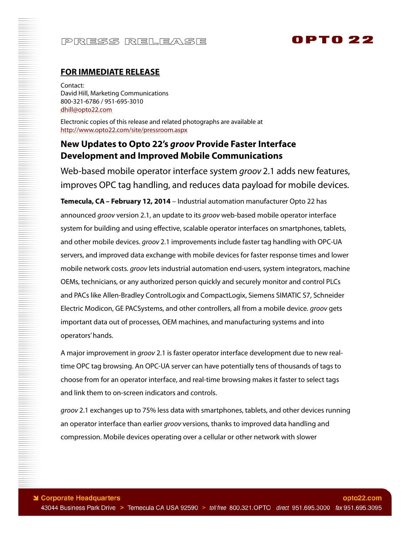# **OPTO 22**

### **FOR IMMEDIATE RELEASE**

Contact: David Hill, Marketing Communications 800-321-6786 / 951-695-3010 dhill@opto22.com

Electronic copies of this release and related photographs are available at http://www.opto22.com/site/pressroom.aspx

### **New Updates to Opto 22's** *groov* **Provide Faster Interface Development and Improved Mobile Communications**

Web-based mobile operator interface system *groov* 2.1 adds new features, improves OPC tag handling, and reduces data payload for mobile devices.

**Temecula, CA – February 12, 2014** – Industrial automation manufacturer Opto 22 has announced groov version 2.1, an update to its groov web-based mobile operator interface system for building and using effective, scalable operator interfaces on smartphones, tablets, and other mobile devices. groov 2.1 improvements include faster tag handling with OPC-UA servers, and improved data exchange with mobile devices for faster response times and lower mobile network costs. *groov* lets industrial automation end-users, system integrators, machine OEMs, technicians, or any authorized person quickly and securely monitor and control PLCs and PACs like Allen-Bradley ControlLogix and CompactLogix, Siemens SIMATIC S7, Schneider Electric Modicon, GE PACSystems, and other controllers, all from a mobile device. groov gets important data out of processes, OEM machines, and manufacturing systems and into operators' hands.

A major improvement in *groov* 2.1 is faster operator interface development due to new realtime OPC tag browsing. An OPC-UA server can have potentially tens of thousands of tags to choose from for an operator interface, and real-time browsing makes it faster to select tags and link them to on-screen indicators and controls.

groov 2.1 exchanges up to 75% less data with smartphones, tablets, and other devices running an operator interface than earlier groov versions, thanks to improved data handling and compression. Mobile devices operating over a cellular or other network with slower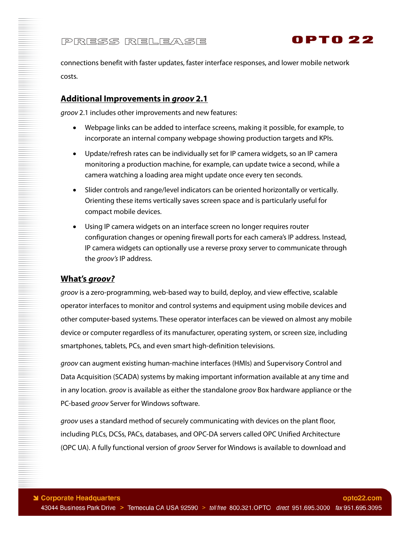

connections benefit with faster updates, faster interface responses, and lower mobile network costs.

### **Additional Improvements in** *groov* **2.1**

groov 2.1 includes other improvements and new features:

- Webpage links can be added to interface screens, making it possible, for example, to incorporate an internal company webpage showing production targets and KPIs.
- Update/refresh rates can be individually set for IP camera widgets, so an IP camera monitoring a production machine, for example, can update twice a second, while a camera watching a loading area might update once every ten seconds.
- Slider controls and range/level indicators can be oriented horizontally or vertically. Orienting these items vertically saves screen space and is particularly useful for compact mobile devices.
- Using IP camera widgets on an interface screen no longer requires router configuration changes or opening firewall ports for each camera's IP address. Instead, IP camera widgets can optionally use a reverse proxy server to communicate through the groov's IP address.

### **What's** *groov?*

groov is a zero-programming, web-based way to build, deploy, and view effective, scalable operator interfaces to monitor and control systems and equipment using mobile devices and other computer-based systems. These operator interfaces can be viewed on almost any mobile device or computer regardless of its manufacturer, operating system, or screen size, including smartphones, tablets, PCs, and even smart high-definition televisions.

groov can augment existing human-machine interfaces (HMIs) and Supervisory Control and Data Acquisition (SCADA) systems by making important information available at any time and in any location. *groov* is available as either the standalone *groov* Box hardware appliance or the PC-based groov Server for Windows software.

groov uses a standard method of securely communicating with devices on the plant floor, including PLCs, DCSs, PACs, databases, and OPC-DA servers called OPC Unified Architecture (OPC UA). A fully functional version of groov Server for Windows is available to download and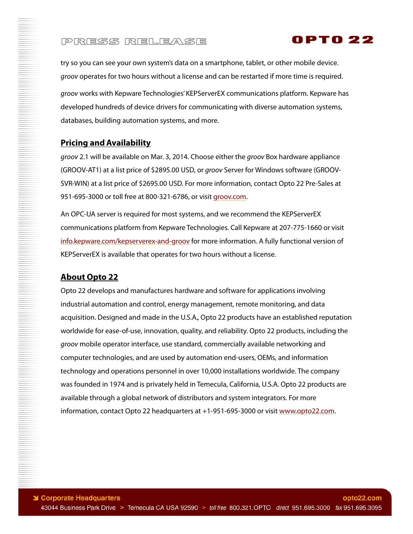try so you can see your own system's data on a smartphone, tablet, or other mobile device. groov operates for two hours without a license and can be restarted if more time is required. groov works with Kepware Technologies' KEPServerEX communications platform. Kepware has developed hundreds of device drivers for communicating with diverse automation systems, databases, building automation systems, and more.

OPTO 22

### **Pricing and Availability**

groov 2.1 will be available on Mar. 3, 2014. Choose either the groov Box hardware appliance (GROOV-AT1) at a list price of \$2895.00 USD, or groov Server for Windows software (GROOV-SVR-WIN) at a list price of \$2695.00 USD. For more information, contact Opto 22 Pre-Sales at 951-695-3000 or toll free at 800-321-6786, or visit groov.com.

An OPC-UA server is required for most systems, and we recommend the KEPServerEX communications platform from Kepware Technologies. Call Kepware at 207-775-1660 or visit info.kepware.com/kepserverex-and-groov for more information. A fully functional version of KEPServerEX is available that operates for two hours without a license.

### **About Opto 22**

Opto 22 develops and manufactures hardware and software for applications involving industrial automation and control, energy management, remote monitoring, and data acquisition. Designed and made in the U.S.A., Opto 22 products have an established reputation worldwide for ease-of-use, innovation, quality, and reliability. Opto 22 products, including the groov mobile operator interface, use standard, commercially available networking and computer technologies, and are used by automation end-users, OEMs, and information technology and operations personnel in over 10,000 installations worldwide. The company was founded in 1974 and is privately held in Temecula, California, U.S.A. Opto 22 products are available through a global network of distributors and system integrators. For more information, contact Opto 22 headquarters at +1-951-695-3000 or visit www.opto22.com.